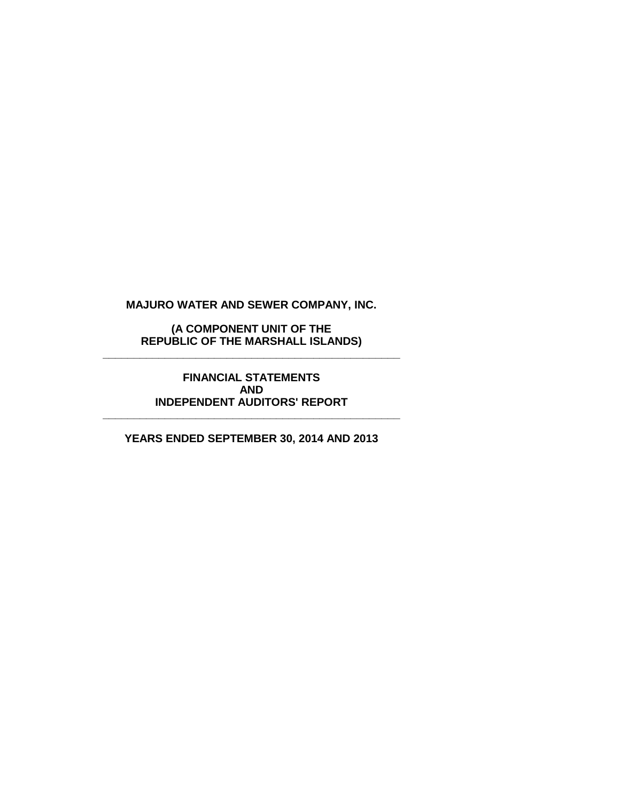**(A COMPONENT UNIT OF THE REPUBLIC OF THE MARSHALL ISLANDS) \_\_\_\_\_\_\_\_\_\_\_\_\_\_\_\_\_\_\_\_\_\_\_\_\_\_\_\_\_\_\_\_\_\_\_\_\_\_\_\_\_\_\_\_\_\_\_\_**

> **FINANCIAL STATEMENTS AND INDEPENDENT AUDITORS' REPORT**

**\_\_\_\_\_\_\_\_\_\_\_\_\_\_\_\_\_\_\_\_\_\_\_\_\_\_\_\_\_\_\_\_\_\_\_\_\_\_\_\_\_\_\_\_\_\_\_\_**

**YEARS ENDED SEPTEMBER 30, 2014 AND 2013**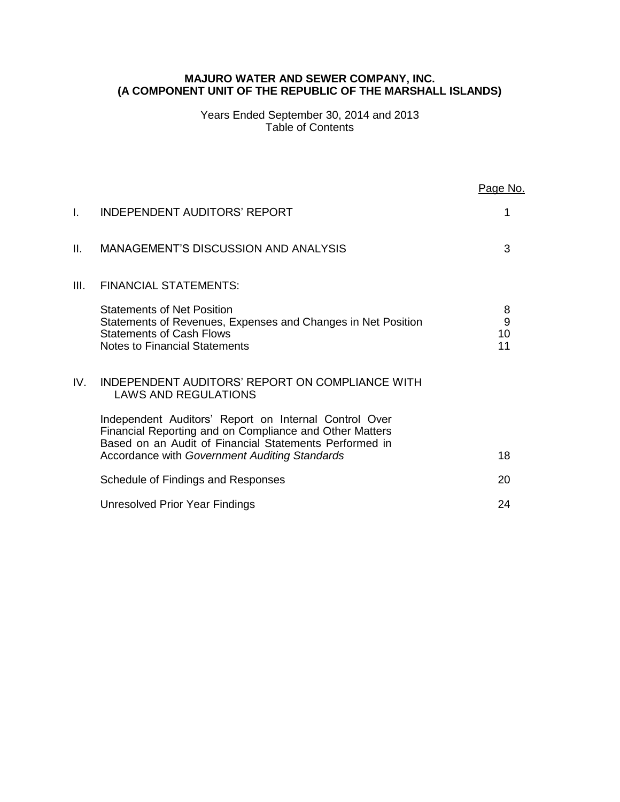### **MAJURO WATER AND SEWER COMPANY, INC. (A COMPONENT UNIT OF THE REPUBLIC OF THE MARSHALL ISLANDS)**

Years Ended September 30, 2014 and 2013 Table of Contents

|      |                                                                                                                                                                                                                             | Page No.           |
|------|-----------------------------------------------------------------------------------------------------------------------------------------------------------------------------------------------------------------------------|--------------------|
| I.   | INDEPENDENT AUDITORS' REPORT                                                                                                                                                                                                | 1                  |
| Ш.   | <b>MANAGEMENT'S DISCUSSION AND ANALYSIS</b>                                                                                                                                                                                 | 3                  |
| III. | <b>FINANCIAL STATEMENTS:</b>                                                                                                                                                                                                |                    |
|      | <b>Statements of Net Position</b><br>Statements of Revenues, Expenses and Changes in Net Position<br><b>Statements of Cash Flows</b><br><b>Notes to Financial Statements</b>                                                | 8<br>9<br>10<br>11 |
| IV.  | INDEPENDENT AUDITORS' REPORT ON COMPLIANCE WITH<br><b>LAWS AND REGULATIONS</b>                                                                                                                                              |                    |
|      | Independent Auditors' Report on Internal Control Over<br>Financial Reporting and on Compliance and Other Matters<br>Based on an Audit of Financial Statements Performed in<br>Accordance with Government Auditing Standards | 18                 |
|      |                                                                                                                                                                                                                             |                    |
|      | Schedule of Findings and Responses                                                                                                                                                                                          | 20                 |
|      | Unresolved Prior Year Findings                                                                                                                                                                                              | 24                 |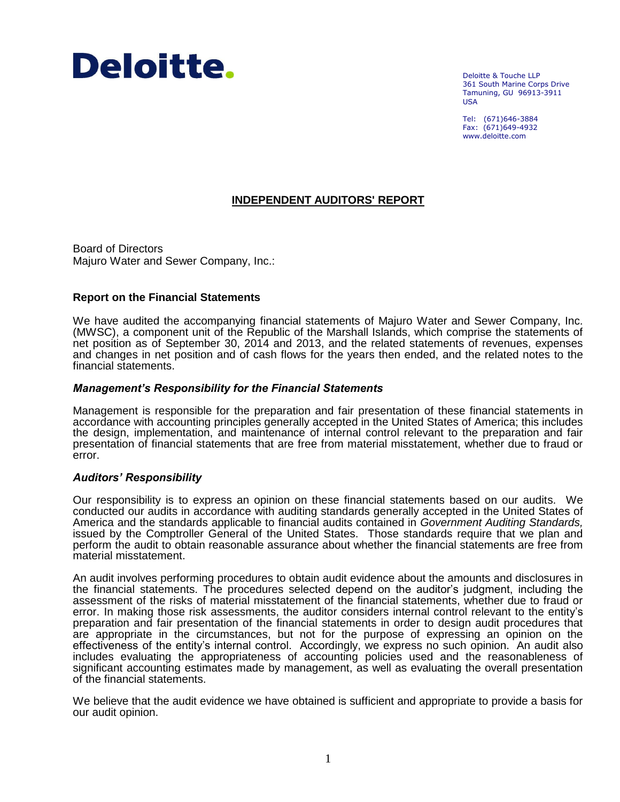

Deloitte & Touche LLP 361 South Marine Corps Drive Tamuning, GU 96913-3911 USA

Tel: (671)646-3884 Fax: (671)649-4932 www.deloitte.com

## **INDEPENDENT AUDITORS' REPORT**

Board of Directors Majuro Water and Sewer Company, Inc.:

### **Report on the Financial Statements**

We have audited the accompanying financial statements of Majuro Water and Sewer Company, Inc. (MWSC), a component unit of the Republic of the Marshall Islands, which comprise the statements of net position as of September 30, 2014 and 2013, and the related statements of revenues, expenses and changes in net position and of cash flows for the years then ended, and the related notes to the financial statements.

### *Management's Responsibility for the Financial Statements*

Management is responsible for the preparation and fair presentation of these financial statements in accordance with accounting principles generally accepted in the United States of America; this includes the design, implementation, and maintenance of internal control relevant to the preparation and fair presentation of financial statements that are free from material misstatement, whether due to fraud or error.

### *Auditors' Responsibility*

Our responsibility is to express an opinion on these financial statements based on our audits. We conducted our audits in accordance with auditing standards generally accepted in the United States of America and the standards applicable to financial audits contained in *Government Auditing Standards,* issued by the Comptroller General of the United States. Those standards require that we plan and perform the audit to obtain reasonable assurance about whether the financial statements are free from material misstatement.

An audit involves performing procedures to obtain audit evidence about the amounts and disclosures in the financial statements. The procedures selected depend on the auditor's judgment, including the assessment of the risks of material misstatement of the financial statements, whether due to fraud or error. In making those risk assessments, the auditor considers internal control relevant to the entity's preparation and fair presentation of the financial statements in order to design audit procedures that are appropriate in the circumstances, but not for the purpose of expressing an opinion on the effectiveness of the entity's internal control. Accordingly, we express no such opinion. An audit also includes evaluating the appropriateness of accounting policies used and the reasonableness of significant accounting estimates made by management, as well as evaluating the overall presentation of the financial statements.

We believe that the audit evidence we have obtained is sufficient and appropriate to provide a basis for our audit opinion.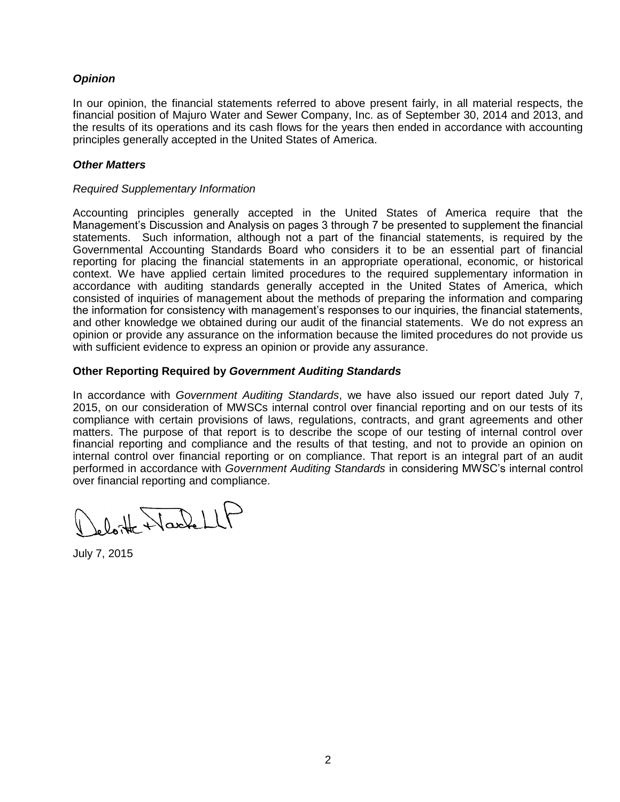## *Opinion*

In our opinion, the financial statements referred to above present fairly, in all material respects, the financial position of Majuro Water and Sewer Company, Inc. as of September 30, 2014 and 2013, and the results of its operations and its cash flows for the years then ended in accordance with accounting principles generally accepted in the United States of America.

## *Other Matters*

### *Required Supplementary Information*

Accounting principles generally accepted in the United States of America require that the Management's Discussion and Analysis on pages 3 through 7 be presented to supplement the financial statements. Such information, although not a part of the financial statements, is required by the Governmental Accounting Standards Board who considers it to be an essential part of financial reporting for placing the financial statements in an appropriate operational, economic, or historical context. We have applied certain limited procedures to the required supplementary information in accordance with auditing standards generally accepted in the United States of America, which consisted of inquiries of management about the methods of preparing the information and comparing the information for consistency with management's responses to our inquiries, the financial statements, and other knowledge we obtained during our audit of the financial statements. We do not express an opinion or provide any assurance on the information because the limited procedures do not provide us with sufficient evidence to express an opinion or provide any assurance.

## **Other Reporting Required by** *Government Auditing Standards*

In accordance with *Government Auditing Standards*, we have also issued our report dated July 7, 2015, on our consideration of MWSCs internal control over financial reporting and on our tests of its compliance with certain provisions of laws, regulations, contracts, and grant agreements and other matters. The purpose of that report is to describe the scope of our testing of internal control over financial reporting and compliance and the results of that testing, and not to provide an opinion on internal control over financial reporting or on compliance. That report is an integral part of an audit performed in accordance with *Government Auditing Standards* in considering MWSC's internal control over financial reporting and compliance.

Leloite Nache LLF

July 7, 2015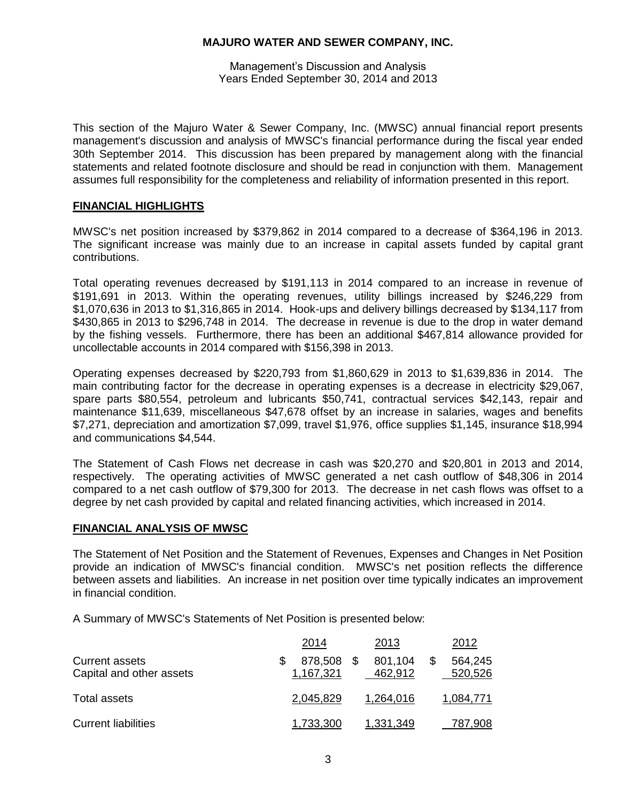Management's Discussion and Analysis Years Ended September 30, 2014 and 2013

This section of the Majuro Water & Sewer Company, Inc. (MWSC) annual financial report presents management's discussion and analysis of MWSC's financial performance during the fiscal year ended 30th September 2014. This discussion has been prepared by management along with the financial statements and related footnote disclosure and should be read in conjunction with them. Management assumes full responsibility for the completeness and reliability of information presented in this report.

## **FINANCIAL HIGHLIGHTS**

MWSC's net position increased by \$379,862 in 2014 compared to a decrease of \$364,196 in 2013. The significant increase was mainly due to an increase in capital assets funded by capital grant contributions.

Total operating revenues decreased by \$191,113 in 2014 compared to an increase in revenue of \$191,691 in 2013. Within the operating revenues, utility billings increased by \$246,229 from \$1,070,636 in 2013 to \$1,316,865 in 2014. Hook-ups and delivery billings decreased by \$134,117 from \$430,865 in 2013 to \$296,748 in 2014. The decrease in revenue is due to the drop in water demand by the fishing vessels. Furthermore, there has been an additional \$467,814 allowance provided for uncollectable accounts in 2014 compared with \$156,398 in 2013.

Operating expenses decreased by \$220,793 from \$1,860,629 in 2013 to \$1,639,836 in 2014. The main contributing factor for the decrease in operating expenses is a decrease in electricity \$29,067, spare parts \$80,554, petroleum and lubricants \$50,741, contractual services \$42,143, repair and maintenance \$11,639, miscellaneous \$47,678 offset by an increase in salaries, wages and benefits \$7,271, depreciation and amortization \$7,099, travel \$1,976, office supplies \$1,145, insurance \$18,994 and communications \$4,544.

The Statement of Cash Flows net decrease in cash was \$20,270 and \$20,801 in 2013 and 2014, respectively. The operating activities of MWSC generated a net cash outflow of \$48,306 in 2014 compared to a net cash outflow of \$79,300 for 2013. The decrease in net cash flows was offset to a degree by net cash provided by capital and related financing activities, which increased in 2014.

### **FINANCIAL ANALYSIS OF MWSC**

The Statement of Net Position and the Statement of Revenues, Expenses and Changes in Net Position provide an indication of MWSC's financial condition. MWSC's net position reflects the difference between assets and liabilities. An increase in net position over time typically indicates an improvement in financial condition.

A Summary of MWSC's Statements of Net Position is presented below:

|                                                   | 2014                 | 2013               | 2012               |
|---------------------------------------------------|----------------------|--------------------|--------------------|
| <b>Current assets</b><br>Capital and other assets | 878,508<br>1,167,321 | 801,104<br>462,912 | 564,245<br>520,526 |
| Total assets                                      | 2,045,829            | 1,264,016          | 1,084,771          |
| <b>Current liabilities</b>                        | 1,733,300            | 1,331,349          | 787,908            |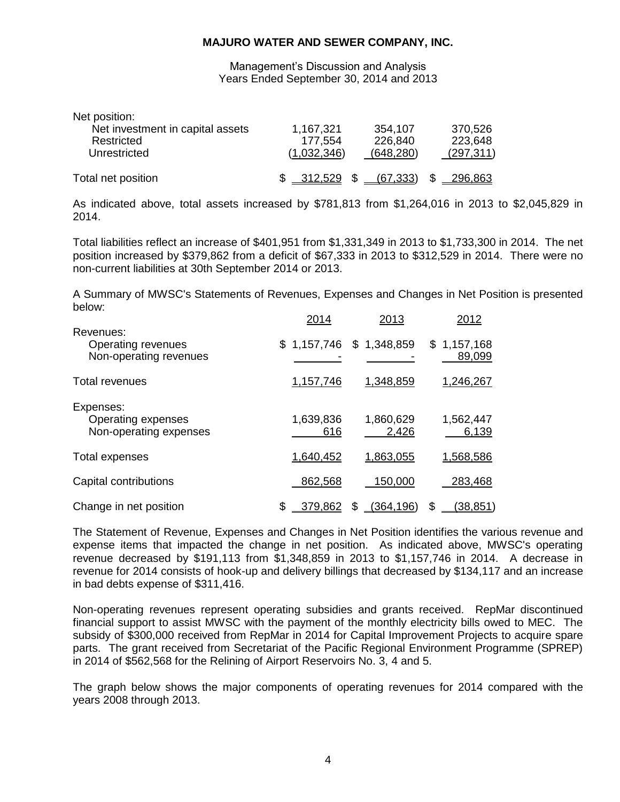Management's Discussion and Analysis Years Ended September 30, 2014 and 2013

| Net position:                    |             |            |            |
|----------------------------------|-------------|------------|------------|
| Net investment in capital assets | 1,167,321   | 354,107    | 370,526    |
| Restricted                       | 177,554     | 226,840    | 223,648    |
| Unrestricted                     | (1,032,346) | (648, 280) | (297, 311) |
| Total net position               | \$312,529   | (67, 333)  | 296.863    |

As indicated above, total assets increased by \$781,813 from \$1,264,016 in 2013 to \$2,045,829 in 2014.

Total liabilities reflect an increase of \$401,951 from \$1,331,349 in 2013 to \$1,733,300 in 2014. The net position increased by \$379,862 from a deficit of \$67,333 in 2013 to \$312,529 in 2014. There were no non-current liabilities at 30th September 2014 or 2013.

A Summary of MWSC's Statements of Revenues, Expenses and Changes in Net Position is presented below:

|                                                           | 2014             | 2013                      | 2012                  |
|-----------------------------------------------------------|------------------|---------------------------|-----------------------|
| Revenues:<br>Operating revenues<br>Non-operating revenues |                  | $$1,157,746$ $$1,348,859$ | \$1,157,168<br>89,099 |
| <b>Total revenues</b>                                     | 1,157,746        | 1,348,859                 | 1,246,267             |
| Expenses:<br>Operating expenses<br>Non-operating expenses | 1,639,836<br>616 | 1,860,629<br>2,426        | 1,562,447<br>6,139    |
| Total expenses                                            | 1,640,452        | 1,863,055                 | 1,568,586             |
| Capital contributions                                     | 862,568          | 150,000                   | 283,468               |
| Change in net position                                    | 379,862<br>\$    | <u>(364,196)</u><br>\$.   | S<br><u>(38,851)</u>  |

The Statement of Revenue, Expenses and Changes in Net Position identifies the various revenue and expense items that impacted the change in net position. As indicated above, MWSC's operating revenue decreased by \$191,113 from \$1,348,859 in 2013 to \$1,157,746 in 2014. A decrease in revenue for 2014 consists of hook-up and delivery billings that decreased by \$134,117 and an increase in bad debts expense of \$311,416.

Non-operating revenues represent operating subsidies and grants received. RepMar discontinued financial support to assist MWSC with the payment of the monthly electricity bills owed to MEC. The subsidy of \$300,000 received from RepMar in 2014 for Capital Improvement Projects to acquire spare parts. The grant received from Secretariat of the Pacific Regional Environment Programme (SPREP) in 2014 of \$562,568 for the Relining of Airport Reservoirs No. 3, 4 and 5.

The graph below shows the major components of operating revenues for 2014 compared with the years 2008 through 2013.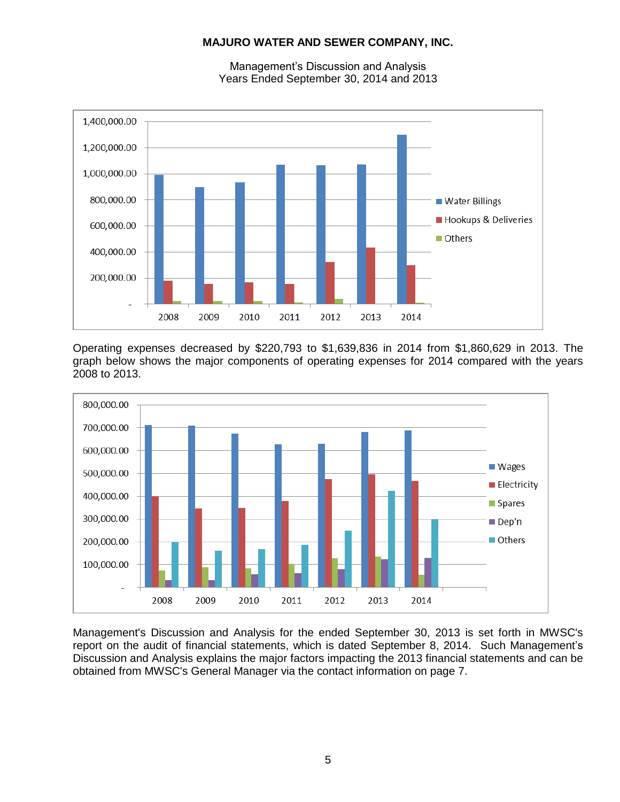

Management's Discussion and Analysis Years Ended September 30, 2014 and 2013

Operating expenses decreased by \$220,793 to \$1,639,836 in 2014 from \$1,860,629 in 2013. The graph below shows the major components of operating expenses for 2014 compared with the years 2008 to 2013.



Management's Discussion and Analysis for the ended September 30, 2013 is set forth in MWSC's report on the audit of financial statements, which is dated September 8, 2014. Such Management's Discussion and Analysis explains the major factors impacting the 2013 financial statements and can be obtained from MWSC's General Manager via the contact information on page 7.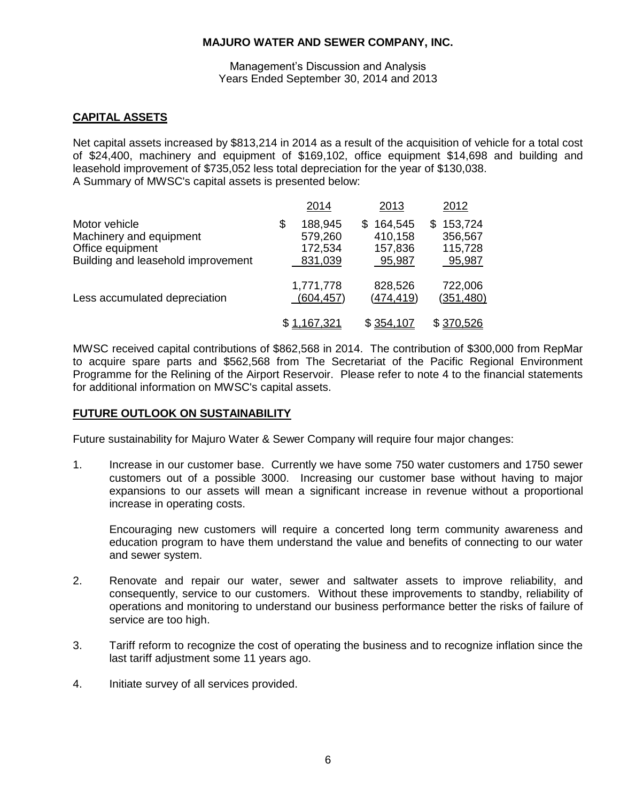### Management's Discussion and Analysis Years Ended September 30, 2014 and 2013

## **CAPITAL ASSETS**

Net capital assets increased by \$813,214 in 2014 as a result of the acquisition of vehicle for a total cost of \$24,400, machinery and equipment of \$169,102, office equipment \$14,698 and building and leasehold improvement of \$735,052 less total depreciation for the year of \$130,038. A Summary of MWSC's capital assets is presented below:

|                                                                                                    |   | 2014                                     | 2013                                         | 2012                                           |
|----------------------------------------------------------------------------------------------------|---|------------------------------------------|----------------------------------------------|------------------------------------------------|
| Motor vehicle<br>Machinery and equipment<br>Office equipment<br>Building and leasehold improvement | S | 188,945<br>579,260<br>172,534<br>831,039 | 164,545<br>S<br>410,158<br>157,836<br>95,987 | 153,724<br>\$.<br>356,567<br>115,728<br>95,987 |
| Less accumulated depreciation                                                                      |   | 1,771,778<br>(604, 457)                  | 828,526<br>(474, 419)                        | 722,006<br>(351, 480)                          |
|                                                                                                    |   | \$1,167,321                              | \$354,107                                    | \$370,526                                      |

MWSC received capital contributions of \$862,568 in 2014. The contribution of \$300,000 from RepMar to acquire spare parts and \$562,568 from The Secretariat of the Pacific Regional Environment Programme for the Relining of the Airport Reservoir. Please refer to note 4 to the financial statements for additional information on MWSC's capital assets.

## **FUTURE OUTLOOK ON SUSTAINABILITY**

Future sustainability for Majuro Water & Sewer Company will require four major changes:

1. Increase in our customer base. Currently we have some 750 water customers and 1750 sewer customers out of a possible 3000. Increasing our customer base without having to major expansions to our assets will mean a significant increase in revenue without a proportional increase in operating costs.

Encouraging new customers will require a concerted long term community awareness and education program to have them understand the value and benefits of connecting to our water and sewer system.

- 2. Renovate and repair our water, sewer and saltwater assets to improve reliability, and consequently, service to our customers. Without these improvements to standby, reliability of operations and monitoring to understand our business performance better the risks of failure of service are too high.
- 3. Tariff reform to recognize the cost of operating the business and to recognize inflation since the last tariff adjustment some 11 years ago.
- 4. Initiate survey of all services provided.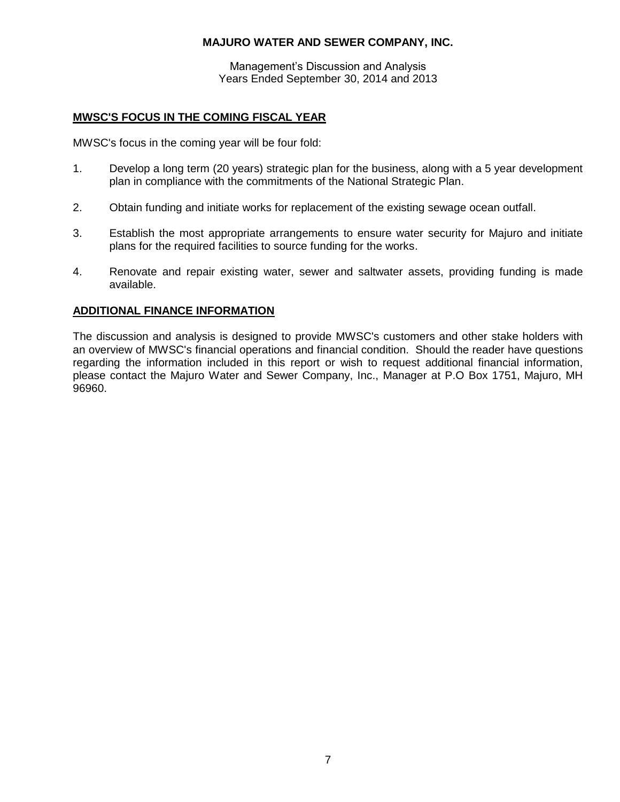Management's Discussion and Analysis Years Ended September 30, 2014 and 2013

## **MWSC'S FOCUS IN THE COMING FISCAL YEAR**

MWSC's focus in the coming year will be four fold:

- 1. Develop a long term (20 years) strategic plan for the business, along with a 5 year development plan in compliance with the commitments of the National Strategic Plan.
- 2. Obtain funding and initiate works for replacement of the existing sewage ocean outfall.
- 3. Establish the most appropriate arrangements to ensure water security for Majuro and initiate plans for the required facilities to source funding for the works.
- 4. Renovate and repair existing water, sewer and saltwater assets, providing funding is made available.

## **ADDITIONAL FINANCE INFORMATION**

The discussion and analysis is designed to provide MWSC's customers and other stake holders with an overview of MWSC's financial operations and financial condition. Should the reader have questions regarding the information included in this report or wish to request additional financial information, please contact the Majuro Water and Sewer Company, Inc., Manager at P.O Box 1751, Majuro, MH 96960.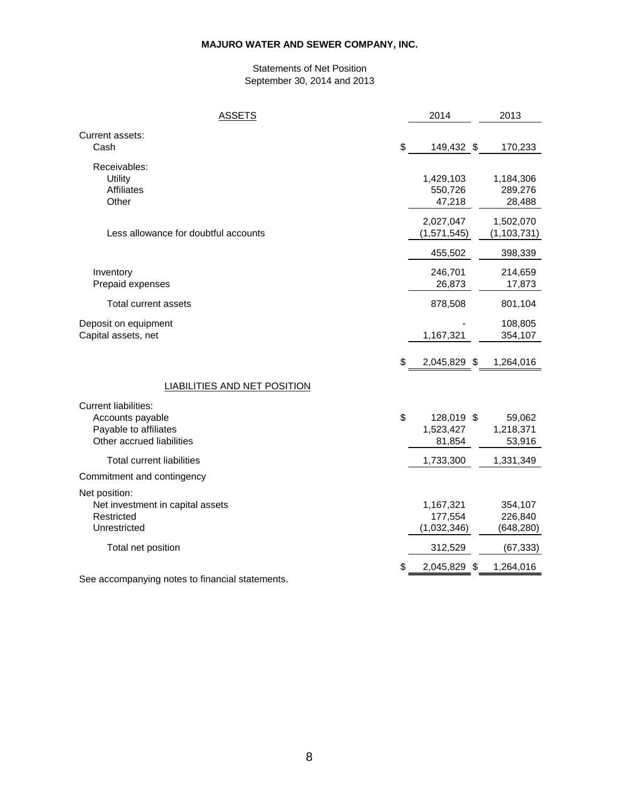### Statements of Net Position September 30, 2014 and 2013

| <b>ASSETS</b>                                   | 2014               | 2013          |
|-------------------------------------------------|--------------------|---------------|
| Current assets:<br>Cash                         | \$<br>149,432 \$   | 170,233       |
| Receivables:                                    |                    |               |
| Utility                                         | 1,429,103          | 1,184,306     |
| <b>Affiliates</b>                               | 550,726            | 289,276       |
| Other                                           | 47,218             | 28,488        |
|                                                 | 2,027,047          | 1,502,070     |
| Less allowance for doubtful accounts            | (1,571,545)        | (1, 103, 731) |
|                                                 | 455,502            | 398,339       |
| Inventory                                       | 246,701            | 214,659       |
| Prepaid expenses                                | 26,873             | 17,873        |
| Total current assets                            | 878,508            | 801,104       |
| Deposit on equipment                            |                    | 108,805       |
| Capital assets, net                             | 1,167,321          | 354,107       |
|                                                 | \$<br>2,045,829 \$ | 1,264,016     |
| LIABILITIES AND NET POSITION                    |                    |               |
|                                                 |                    |               |
| <b>Current liabilities:</b><br>Accounts payable | \$<br>128,019 \$   | 59,062        |
| Payable to affiliates                           | 1,523,427          | 1,218,371     |
| Other accrued liabilities                       | 81,854             | 53,916        |
| <b>Total current liabilities</b>                | 1,733,300          | 1,331,349     |
| Commitment and contingency                      |                    |               |
| Net position:                                   |                    |               |
| Net investment in capital assets                | 1,167,321          | 354,107       |
| Restricted                                      | 177,554            | 226,840       |
| Unrestricted                                    | (1,032,346)        | (648, 280)    |
| Total net position                              | 312,529            | (67, 333)     |
|                                                 | \$<br>2,045,829 \$ | 1,264,016     |
| See accompanying notes to financial statements. |                    |               |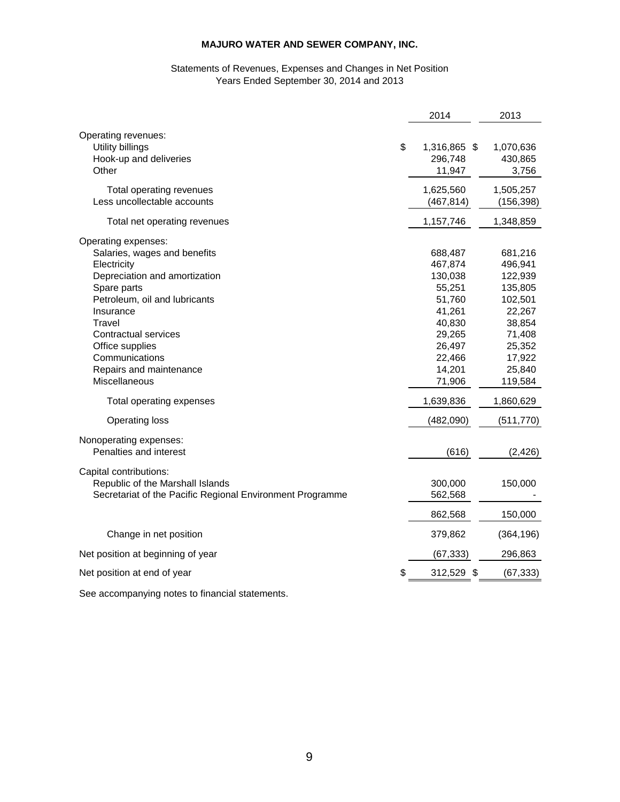### Statements of Revenues, Expenses and Changes in Net Position Years Ended September 30, 2014 and 2013

|                                                                                                                                                                                                                                                                                            | 2014                                                                                                                    | 2013                                                                                                                       |
|--------------------------------------------------------------------------------------------------------------------------------------------------------------------------------------------------------------------------------------------------------------------------------------------|-------------------------------------------------------------------------------------------------------------------------|----------------------------------------------------------------------------------------------------------------------------|
| Operating revenues:<br>\$<br>Utility billings<br>Hook-up and deliveries<br>Other                                                                                                                                                                                                           | 1,316,865 \$<br>296,748<br>11,947                                                                                       | 1,070,636<br>430,865<br>3,756                                                                                              |
| Total operating revenues<br>Less uncollectable accounts                                                                                                                                                                                                                                    | 1,625,560<br>(467, 814)                                                                                                 | 1,505,257<br>(156, 398)                                                                                                    |
| Total net operating revenues                                                                                                                                                                                                                                                               | 1,157,746                                                                                                               | 1,348,859                                                                                                                  |
| Operating expenses:<br>Salaries, wages and benefits<br>Electricity<br>Depreciation and amortization<br>Spare parts<br>Petroleum, oil and lubricants<br>Insurance<br>Travel<br><b>Contractual services</b><br>Office supplies<br>Communications<br>Repairs and maintenance<br>Miscellaneous | 688,487<br>467,874<br>130,038<br>55,251<br>51,760<br>41,261<br>40,830<br>29,265<br>26,497<br>22,466<br>14,201<br>71,906 | 681,216<br>496,941<br>122,939<br>135,805<br>102,501<br>22,267<br>38,854<br>71,408<br>25,352<br>17,922<br>25,840<br>119,584 |
| Total operating expenses                                                                                                                                                                                                                                                                   | 1,639,836                                                                                                               | 1,860,629                                                                                                                  |
| <b>Operating loss</b>                                                                                                                                                                                                                                                                      | (482,090)                                                                                                               | (511, 770)                                                                                                                 |
| Nonoperating expenses:<br>Penalties and interest                                                                                                                                                                                                                                           | (616)                                                                                                                   | (2, 426)                                                                                                                   |
| Capital contributions:<br>Republic of the Marshall Islands<br>Secretariat of the Pacific Regional Environment Programme                                                                                                                                                                    | 300,000<br>562,568                                                                                                      | 150,000                                                                                                                    |
|                                                                                                                                                                                                                                                                                            | 862,568                                                                                                                 | 150,000                                                                                                                    |
| Change in net position                                                                                                                                                                                                                                                                     | 379,862                                                                                                                 | (364, 196)                                                                                                                 |
| Net position at beginning of year                                                                                                                                                                                                                                                          | (67, 333)                                                                                                               | 296,863                                                                                                                    |
| \$<br>Net position at end of year                                                                                                                                                                                                                                                          | 312,529 \$                                                                                                              | (67, 333)                                                                                                                  |
| فمفو المامرة والمسافي والمستحقق والمسارية ومستحدث                                                                                                                                                                                                                                          |                                                                                                                         |                                                                                                                            |

See accompanying notes to financial statements.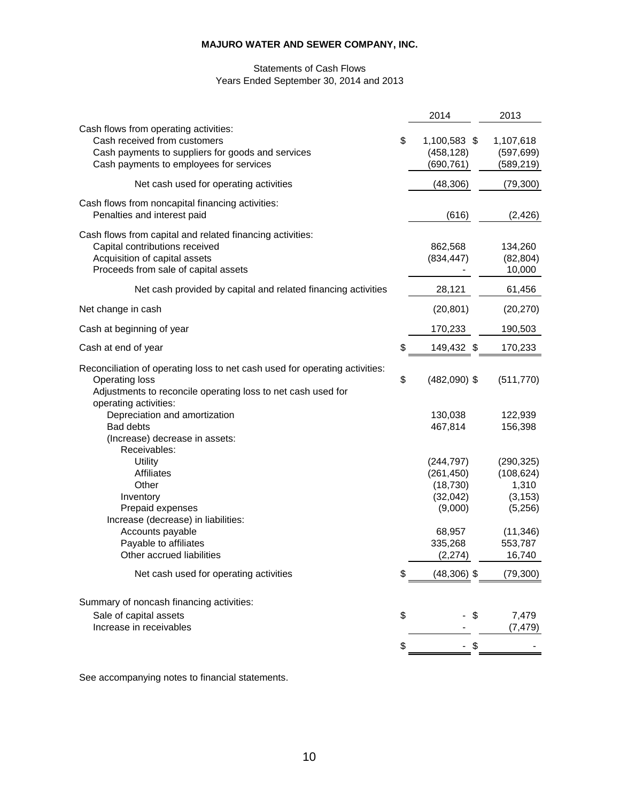## Statements of Cash Flows Years Ended September 30, 2014 and 2013

|                                                                                                                                                                                        | 2014                                                         | 2013                                                     |
|----------------------------------------------------------------------------------------------------------------------------------------------------------------------------------------|--------------------------------------------------------------|----------------------------------------------------------|
| Cash flows from operating activities:<br>Cash received from customers<br>Cash payments to suppliers for goods and services<br>Cash payments to employees for services                  | \$<br>1,100,583 \$<br>(458, 128)<br>(690, 761)               | 1,107,618<br>(597, 699)<br>(589, 219)                    |
| Net cash used for operating activities                                                                                                                                                 | (48, 306)                                                    | (79, 300)                                                |
| Cash flows from noncapital financing activities:<br>Penalties and interest paid                                                                                                        | (616)                                                        | (2, 426)                                                 |
| Cash flows from capital and related financing activities:<br>Capital contributions received<br>Acquisition of capital assets<br>Proceeds from sale of capital assets                   | 862,568<br>(834, 447)                                        | 134,260<br>(82, 804)<br>10,000                           |
| Net cash provided by capital and related financing activities                                                                                                                          | 28,121                                                       | 61,456                                                   |
| Net change in cash                                                                                                                                                                     | (20, 801)                                                    | (20, 270)                                                |
| Cash at beginning of year                                                                                                                                                              | 170,233                                                      | 190,503                                                  |
| Cash at end of year                                                                                                                                                                    | \$<br>149,432 \$                                             | 170,233                                                  |
| Reconciliation of operating loss to net cash used for operating activities:<br>Operating loss<br>Adjustments to reconcile operating loss to net cash used for<br>operating activities: | \$<br>$(482,090)$ \$                                         | (511, 770)                                               |
| Depreciation and amortization<br><b>Bad debts</b><br>(Increase) decrease in assets:<br>Receivables:                                                                                    | 130,038<br>467,814                                           | 122,939<br>156,398                                       |
| Utility<br><b>Affiliates</b><br>Other<br>Inventory<br>Prepaid expenses<br>Increase (decrease) in liabilities:                                                                          | (244, 797)<br>(261, 450)<br>(18, 730)<br>(32,042)<br>(9,000) | (290, 325)<br>(108, 624)<br>1,310<br>(3, 153)<br>(5,256) |
| Accounts payable<br>Payable to affiliates<br>Other accrued liabilities                                                                                                                 | 68,957<br>335,268<br>(2, 274)                                | (11, 346)<br>553,787<br>16,740                           |
| Net cash used for operating activities                                                                                                                                                 | \$<br>$(48,306)$ \$                                          | (79, 300)                                                |
| Summary of noncash financing activities:<br>Sale of capital assets<br>Increase in receivables                                                                                          | \$<br>\$                                                     | 7,479<br>(7, 479)                                        |
|                                                                                                                                                                                        | \$                                                           |                                                          |
|                                                                                                                                                                                        |                                                              |                                                          |

See accompanying notes to financial statements.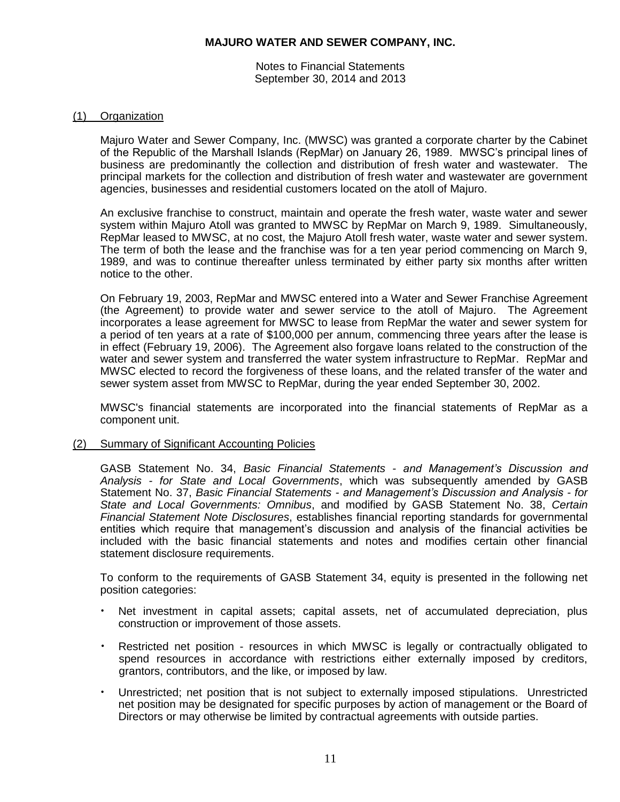Notes to Financial Statements September 30, 2014 and 2013

### (1) Organization

Majuro Water and Sewer Company, Inc. (MWSC) was granted a corporate charter by the Cabinet of the Republic of the Marshall Islands (RepMar) on January 26, 1989. MWSC's principal lines of business are predominantly the collection and distribution of fresh water and wastewater. The principal markets for the collection and distribution of fresh water and wastewater are government agencies, businesses and residential customers located on the atoll of Majuro.

An exclusive franchise to construct, maintain and operate the fresh water, waste water and sewer system within Majuro Atoll was granted to MWSC by RepMar on March 9, 1989. Simultaneously, RepMar leased to MWSC, at no cost, the Majuro Atoll fresh water, waste water and sewer system. The term of both the lease and the franchise was for a ten year period commencing on March 9, 1989, and was to continue thereafter unless terminated by either party six months after written notice to the other.

On February 19, 2003, RepMar and MWSC entered into a Water and Sewer Franchise Agreement (the Agreement) to provide water and sewer service to the atoll of Majuro. The Agreement incorporates a lease agreement for MWSC to lease from RepMar the water and sewer system for a period of ten years at a rate of \$100,000 per annum, commencing three years after the lease is in effect (February 19, 2006). The Agreement also forgave loans related to the construction of the water and sewer system and transferred the water system infrastructure to RepMar. RepMar and MWSC elected to record the forgiveness of these loans, and the related transfer of the water and sewer system asset from MWSC to RepMar, during the year ended September 30, 2002.

MWSC's financial statements are incorporated into the financial statements of RepMar as a component unit.

(2) Summary of Significant Accounting Policies

GASB Statement No. 34, *Basic Financial Statements - and Management's Discussion and Analysis - for State and Local Governments*, which was subsequently amended by GASB Statement No. 37, *Basic Financial Statements - and Management's Discussion and Analysis - for State and Local Governments: Omnibus*, and modified by GASB Statement No. 38, *Certain Financial Statement Note Disclosures*, establishes financial reporting standards for governmental entities which require that management's discussion and analysis of the financial activities be included with the basic financial statements and notes and modifies certain other financial statement disclosure requirements.

To conform to the requirements of GASB Statement 34, equity is presented in the following net position categories:

- Net investment in capital assets; capital assets, net of accumulated depreciation, plus construction or improvement of those assets.
- Restricted net position resources in which MWSC is legally or contractually obligated to spend resources in accordance with restrictions either externally imposed by creditors, grantors, contributors, and the like, or imposed by law.
- Unrestricted; net position that is not subject to externally imposed stipulations. Unrestricted net position may be designated for specific purposes by action of management or the Board of Directors or may otherwise be limited by contractual agreements with outside parties.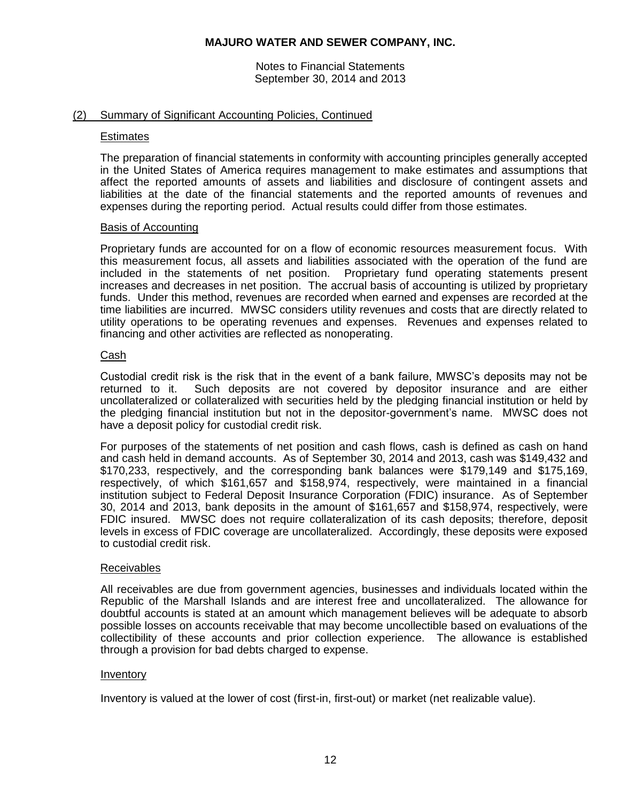Notes to Financial Statements September 30, 2014 and 2013

### (2) Summary of Significant Accounting Policies, Continued

#### **Estimates**

The preparation of financial statements in conformity with accounting principles generally accepted in the United States of America requires management to make estimates and assumptions that affect the reported amounts of assets and liabilities and disclosure of contingent assets and liabilities at the date of the financial statements and the reported amounts of revenues and expenses during the reporting period. Actual results could differ from those estimates.

#### Basis of Accounting

Proprietary funds are accounted for on a flow of economic resources measurement focus. With this measurement focus, all assets and liabilities associated with the operation of the fund are included in the statements of net position. Proprietary fund operating statements present increases and decreases in net position. The accrual basis of accounting is utilized by proprietary funds. Under this method, revenues are recorded when earned and expenses are recorded at the time liabilities are incurred. MWSC considers utility revenues and costs that are directly related to utility operations to be operating revenues and expenses. Revenues and expenses related to financing and other activities are reflected as nonoperating.

#### Cash

Custodial credit risk is the risk that in the event of a bank failure, MWSC's deposits may not be returned to it. Such deposits are not covered by depositor insurance and are either uncollateralized or collateralized with securities held by the pledging financial institution or held by the pledging financial institution but not in the depositor-government's name. MWSC does not have a deposit policy for custodial credit risk.

For purposes of the statements of net position and cash flows, cash is defined as cash on hand and cash held in demand accounts. As of September 30, 2014 and 2013, cash was \$149,432 and \$170,233, respectively, and the corresponding bank balances were \$179,149 and \$175,169, respectively, of which \$161,657 and \$158,974, respectively, were maintained in a financial institution subject to Federal Deposit Insurance Corporation (FDIC) insurance. As of September 30, 2014 and 2013, bank deposits in the amount of \$161,657 and \$158,974, respectively, were FDIC insured. MWSC does not require collateralization of its cash deposits; therefore, deposit levels in excess of FDIC coverage are uncollateralized. Accordingly, these deposits were exposed to custodial credit risk.

### Receivables

All receivables are due from government agencies, businesses and individuals located within the Republic of the Marshall Islands and are interest free and uncollateralized. The allowance for doubtful accounts is stated at an amount which management believes will be adequate to absorb possible losses on accounts receivable that may become uncollectible based on evaluations of the collectibility of these accounts and prior collection experience. The allowance is established through a provision for bad debts charged to expense.

#### Inventory

Inventory is valued at the lower of cost (first-in, first-out) or market (net realizable value).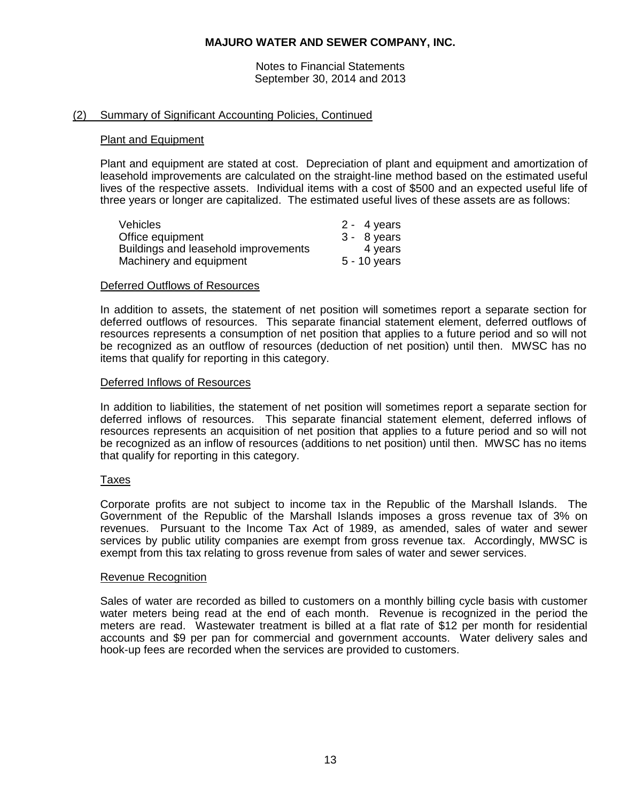Notes to Financial Statements September 30, 2014 and 2013

### (2) Summary of Significant Accounting Policies, Continued

#### Plant and Equipment

Plant and equipment are stated at cost. Depreciation of plant and equipment and amortization of leasehold improvements are calculated on the straight-line method based on the estimated useful lives of the respective assets. Individual items with a cost of \$500 and an expected useful life of three years or longer are capitalized. The estimated useful lives of these assets are as follows:

| <b>Vehicles</b>                      | $2 - 4$ years |
|--------------------------------------|---------------|
| Office equipment                     | $3 - 8$ years |
| Buildings and leasehold improvements | 4 years       |
| Machinery and equipment              | 5 - 10 years  |

#### Deferred Outflows of Resources

In addition to assets, the statement of net position will sometimes report a separate section for deferred outflows of resources. This separate financial statement element, deferred outflows of resources represents a consumption of net position that applies to a future period and so will not be recognized as an outflow of resources (deduction of net position) until then. MWSC has no items that qualify for reporting in this category.

#### Deferred Inflows of Resources

In addition to liabilities, the statement of net position will sometimes report a separate section for deferred inflows of resources. This separate financial statement element, deferred inflows of resources represents an acquisition of net position that applies to a future period and so will not be recognized as an inflow of resources (additions to net position) until then. MWSC has no items that qualify for reporting in this category.

#### Taxes

Corporate profits are not subject to income tax in the Republic of the Marshall Islands. The Government of the Republic of the Marshall Islands imposes a gross revenue tax of 3% on revenues. Pursuant to the Income Tax Act of 1989, as amended, sales of water and sewer services by public utility companies are exempt from gross revenue tax. Accordingly, MWSC is exempt from this tax relating to gross revenue from sales of water and sewer services.

#### Revenue Recognition

Sales of water are recorded as billed to customers on a monthly billing cycle basis with customer water meters being read at the end of each month. Revenue is recognized in the period the meters are read. Wastewater treatment is billed at a flat rate of \$12 per month for residential accounts and \$9 per pan for commercial and government accounts. Water delivery sales and hook-up fees are recorded when the services are provided to customers.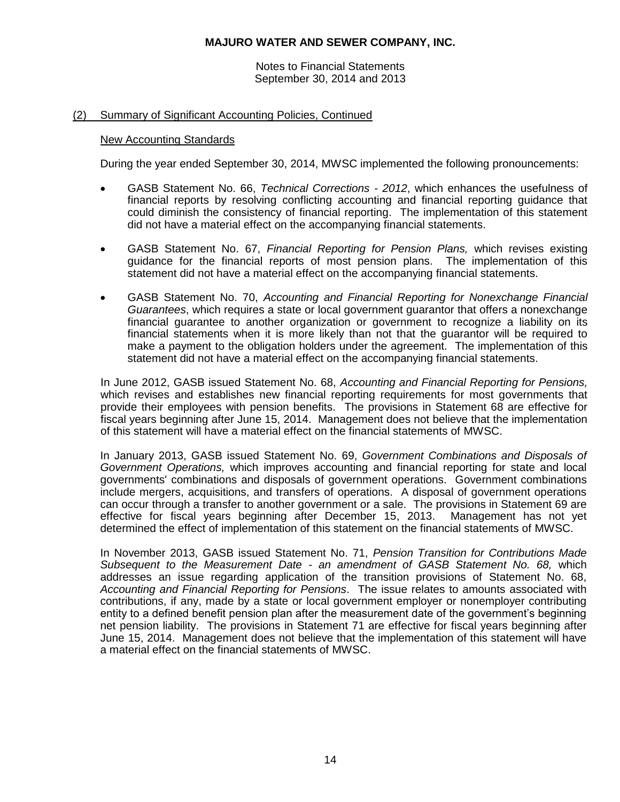Notes to Financial Statements September 30, 2014 and 2013

## (2) Summary of Significant Accounting Policies, Continued

### New Accounting Standards

During the year ended September 30, 2014, MWSC implemented the following pronouncements:

- GASB Statement No. 66, *Technical Corrections - 2012*, which enhances the usefulness of financial reports by resolving conflicting accounting and financial reporting guidance that could diminish the consistency of financial reporting. The implementation of this statement did not have a material effect on the accompanying financial statements.
- GASB Statement No. 67, *Financial Reporting for Pension Plans,* which revises existing guidance for the financial reports of most pension plans. The implementation of this statement did not have a material effect on the accompanying financial statements.
- GASB Statement No. 70, *Accounting and Financial Reporting for Nonexchange Financial Guarantees*, which requires a state or local government guarantor that offers a nonexchange financial guarantee to another organization or government to recognize a liability on its financial statements when it is more likely than not that the guarantor will be required to make a payment to the obligation holders under the agreement. The implementation of this statement did not have a material effect on the accompanying financial statements.

In June 2012, GASB issued Statement No. 68, *Accounting and Financial Reporting for Pensions,*  which revises and establishes new financial reporting requirements for most governments that provide their employees with pension benefits. The provisions in Statement 68 are effective for fiscal years beginning after June 15, 2014. Management does not believe that the implementation of this statement will have a material effect on the financial statements of MWSC.

In January 2013, GASB issued Statement No. 69, *Government Combinations and Disposals of Government Operations,* which improves accounting and financial reporting for state and local governments' combinations and disposals of government operations. Government combinations include mergers, acquisitions, and transfers of operations. A disposal of government operations can occur through a transfer to another government or a sale. The provisions in Statement 69 are effective for fiscal years beginning after December 15, 2013. Management has not yet determined the effect of implementation of this statement on the financial statements of MWSC.

In November 2013, GASB issued Statement No. 71, *Pension Transition for Contributions Made Subsequent to the Measurement Date - an amendment of GASB Statement No. 68,* which addresses an issue regarding application of the transition provisions of Statement No. 68, *Accounting and Financial Reporting for Pensions*. The issue relates to amounts associated with contributions, if any, made by a state or local government employer or nonemployer contributing entity to a defined benefit pension plan after the measurement date of the government's beginning net pension liability. The provisions in Statement 71 are effective for fiscal years beginning after June 15, 2014. Management does not believe that the implementation of this statement will have a material effect on the financial statements of MWSC.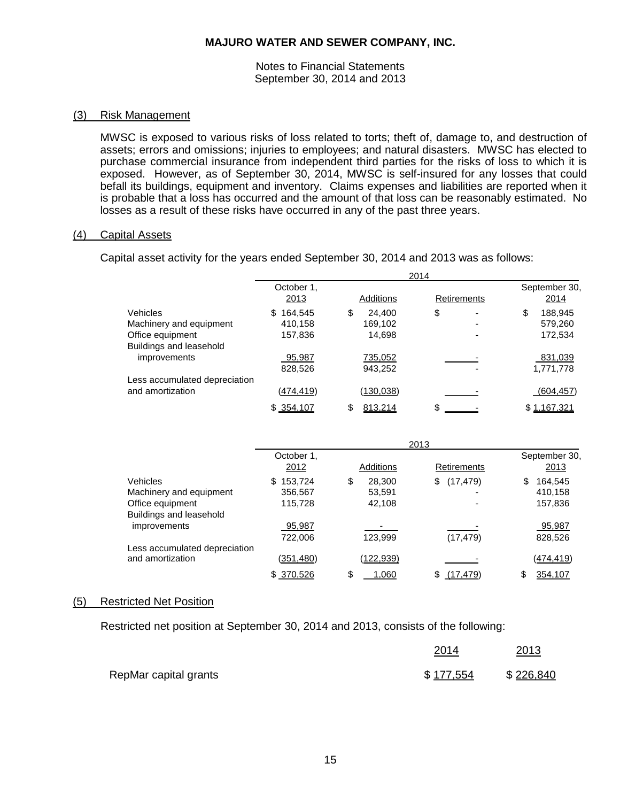Notes to Financial Statements September 30, 2014 and 2013

#### (3) Risk Management

MWSC is exposed to various risks of loss related to torts; theft of, damage to, and destruction of assets; errors and omissions; injuries to employees; and natural disasters. MWSC has elected to purchase commercial insurance from independent third parties for the risks of loss to which it is exposed. However, as of September 30, 2014, MWSC is self-insured for any losses that could befall its buildings, equipment and inventory. Claims expenses and liabilities are reported when it is probable that a loss has occurred and the amount of that loss can be reasonably estimated. No losses as a result of these risks have occurred in any of the past three years.

### (4) Capital Assets

Capital asset activity for the years ended September 30, 2014 and 2013 was as follows:

|                               |                  | 2014             |                 |                |
|-------------------------------|------------------|------------------|-----------------|----------------|
|                               | October 1,       |                  |                 | September 30,  |
|                               | 2013             | <b>Additions</b> | Retirements     | 2014           |
| Vehicles                      | 164,545<br>\$.   | \$<br>24,400     | \$              | \$<br>188,945  |
| Machinery and equipment       | 410,158          | 169,102          |                 | 579,260        |
| Office equipment              | 157,836          | 14,698           |                 | 172,534        |
| Buildings and leasehold       |                  |                  |                 |                |
| improvements                  | 95,987           | 735,052          |                 | 831,039        |
|                               | 828,526          | 943,252          |                 | 1,771,778      |
| Less accumulated depreciation |                  |                  |                 |                |
| and amortization              | <u>(474,419)</u> | (130, 038)       |                 | (604, 457)     |
|                               | \$354,107        | 813,214<br>\$    | \$.             | \$1,167,321    |
|                               |                  |                  |                 |                |
|                               |                  | 2013             |                 |                |
|                               | October 1,       |                  |                 | September 30,  |
|                               | <u>2012</u>      | Additions        | Retirements     | 2013           |
| Vehicles                      | \$153,724        | \$<br>28,300     | (17, 479)<br>\$ | 164,545<br>\$. |
| Machinery and equipment       | 356,567          | 53,591           |                 | 410,158        |
| Office equipment              | 115,728          | 42,108           |                 | 157,836        |
| Buildings and leasehold       |                  |                  |                 |                |
| improvements                  | 95,987           |                  |                 | 95,987         |
|                               | 722,006          | 123,999          | (17, 479)       | 828,526        |
| Less accumulated depreciation |                  |                  |                 |                |
| and amortization              | (351, 480)       | (122,939)        |                 | (474, 419)     |
|                               | \$ 370,526       | \$<br>1.060      | \$<br>(17.479)  | 354,107<br>\$  |

#### (5) Restricted Net Position

Restricted net position at September 30, 2014 and 2013, consists of the following:

|                       | 2014      | 2013      |
|-----------------------|-----------|-----------|
| RepMar capital grants | \$177,554 | \$226,840 |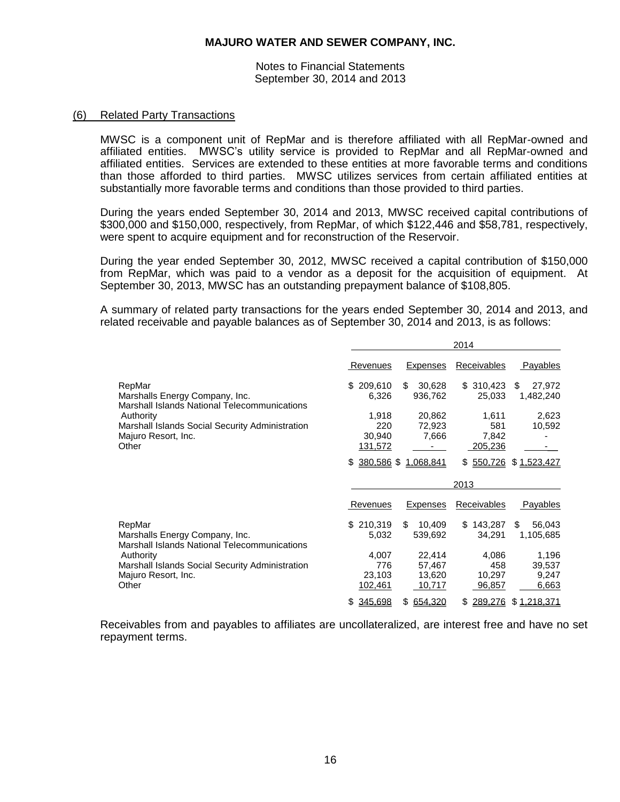Notes to Financial Statements September 30, 2014 and 2013

### (6) Related Party Transactions

MWSC is a component unit of RepMar and is therefore affiliated with all RepMar-owned and affiliated entities. MWSC's utility service is provided to RepMar and all RepMar-owned and affiliated entities. Services are extended to these entities at more favorable terms and conditions than those afforded to third parties. MWSC utilizes services from certain affiliated entities at substantially more favorable terms and conditions than those provided to third parties.

During the years ended September 30, 2014 and 2013, MWSC received capital contributions of \$300,000 and \$150,000, respectively, from RepMar, of which \$122,446 and \$58,781, respectively, were spent to acquire equipment and for reconstruction of the Reservoir.

During the year ended September 30, 2012, MWSC received a capital contribution of \$150,000 from RepMar, which was paid to a vendor as a deposit for the acquisition of equipment. At September 30, 2013, MWSC has an outstanding prepayment balance of \$108,805.

A summary of related party transactions for the years ended September 30, 2014 and 2013, and related receivable and payable balances as of September 30, 2014 and 2013, is as follows:

|                                                                                                                                                     |                                   |                                      | 2014                             |                                   |
|-----------------------------------------------------------------------------------------------------------------------------------------------------|-----------------------------------|--------------------------------------|----------------------------------|-----------------------------------|
|                                                                                                                                                     | Revenues                          | <b>Expenses</b>                      | Receivables                      | Payables                          |
| RepMar<br>Marshalls Energy Company, Inc.<br>Marshall Islands National Telecommunications                                                            | 209,610<br>\$<br>6,326            | \$<br>30,628<br>936,762              | \$310,423<br>25,033              | \$<br>27,972<br>1,482,240         |
| Authority<br>Marshall Islands Social Security Administration<br>Majuro Resort, Inc.                                                                 | 1,918<br>220<br>30,940            | 20,862<br>72,923<br>7,666            | 1,611<br>581<br>7,842            | 2,623<br>10,592                   |
| Other                                                                                                                                               | 131,572<br>380,586 \$<br>\$.      | 1.068.841                            | 205,236<br>550,726<br>S.         | \$1,523,427                       |
|                                                                                                                                                     |                                   |                                      | 2013                             |                                   |
|                                                                                                                                                     | Revenues                          | Expenses                             |                                  |                                   |
|                                                                                                                                                     |                                   |                                      | Receivables                      | Payables                          |
| RepMar<br>Marshalls Energy Company, Inc.                                                                                                            | \$210,319<br>5,032                | \$<br>10,409<br>539,692              | 143,287<br>\$<br>34,291          | \$<br>56,043<br>1,105,685         |
| <b>Marshall Islands National Telecommunications</b><br>Authority<br>Marshall Islands Social Security Administration<br>Majuro Resort, Inc.<br>Other | 4,007<br>776<br>23,103<br>102,461 | 22,414<br>57,467<br>13,620<br>10,717 | 4,086<br>458<br>10,297<br>96,857 | 1,196<br>39,537<br>9,247<br>6,663 |

Receivables from and payables to affiliates are uncollateralized, are interest free and have no set repayment terms.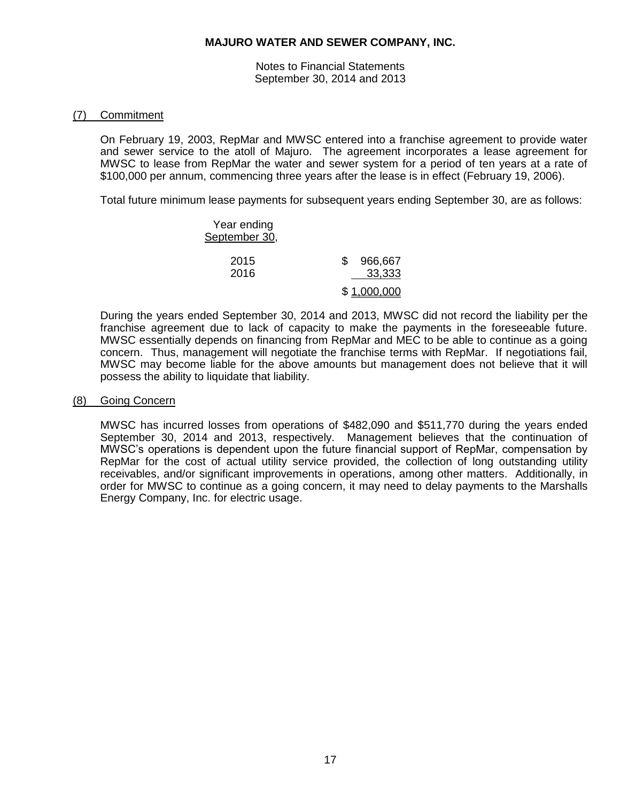Notes to Financial Statements September 30, 2014 and 2013

### (7) Commitment

On February 19, 2003, RepMar and MWSC entered into a franchise agreement to provide water and sewer service to the atoll of Majuro. The agreement incorporates a lease agreement for MWSC to lease from RepMar the water and sewer system for a period of ten years at a rate of \$100,000 per annum, commencing three years after the lease is in effect (February 19, 2006).

Total future minimum lease payments for subsequent years ending September 30, are as follows:

| Year ending<br>September 30, |                         |
|------------------------------|-------------------------|
| 2015<br>2016                 | 966,667<br>\$<br>33,333 |
|                              | \$1,000,000             |

During the years ended September 30, 2014 and 2013, MWSC did not record the liability per the franchise agreement due to lack of capacity to make the payments in the foreseeable future. MWSC essentially depends on financing from RepMar and MEC to be able to continue as a going concern. Thus, management will negotiate the franchise terms with RepMar. If negotiations fail, MWSC may become liable for the above amounts but management does not believe that it will possess the ability to liquidate that liability.

### (8) Going Concern

MWSC has incurred losses from operations of \$482,090 and \$511,770 during the years ended September 30, 2014 and 2013, respectively. Management believes that the continuation of MWSC's operations is dependent upon the future financial support of RepMar, compensation by RepMar for the cost of actual utility service provided, the collection of long outstanding utility receivables, and/or significant improvements in operations, among other matters. Additionally, in order for MWSC to continue as a going concern, it may need to delay payments to the Marshalls Energy Company, Inc. for electric usage.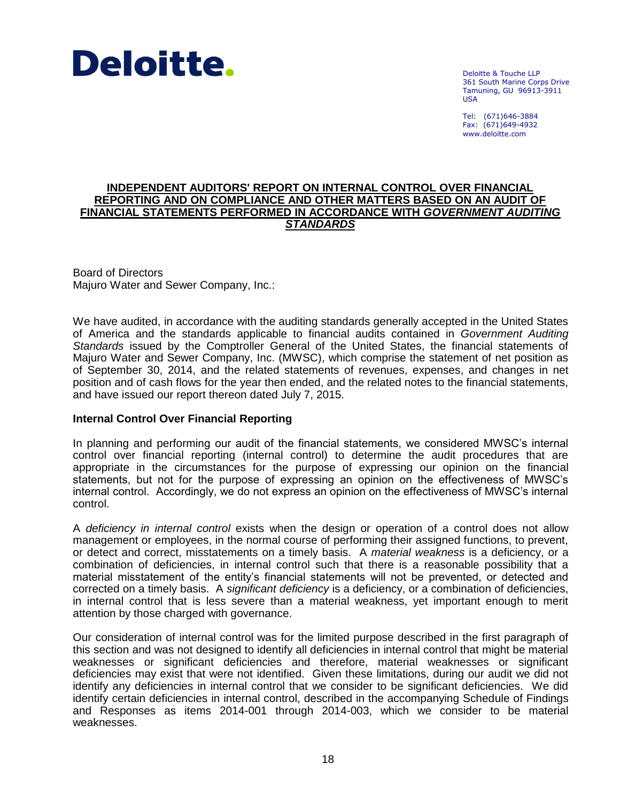

Deloitte & Touche LLP 361 South Marine Corps Drive Tamuning, GU 96913-3911 USA

Tel: (671)646-3884 Fax: (671)649-4932 www.deloitte.com

### **INDEPENDENT AUDITORS' REPORT ON INTERNAL CONTROL OVER FINANCIAL REPORTING AND ON COMPLIANCE AND OTHER MATTERS BASED ON AN AUDIT OF FINANCIAL STATEMENTS PERFORMED IN ACCORDANCE WITH** *GOVERNMENT AUDITING STANDARDS*

Board of Directors Majuro Water and Sewer Company, Inc.:

We have audited, in accordance with the auditing standards generally accepted in the United States of America and the standards applicable to financial audits contained in *Government Auditing Standards* issued by the Comptroller General of the United States, the financial statements of Majuro Water and Sewer Company, Inc. (MWSC), which comprise the statement of net position as of September 30, 2014, and the related statements of revenues, expenses, and changes in net position and of cash flows for the year then ended, and the related notes to the financial statements, and have issued our report thereon dated July 7, 2015.

### **Internal Control Over Financial Reporting**

In planning and performing our audit of the financial statements, we considered MWSC's internal control over financial reporting (internal control) to determine the audit procedures that are appropriate in the circumstances for the purpose of expressing our opinion on the financial statements, but not for the purpose of expressing an opinion on the effectiveness of MWSC's internal control. Accordingly, we do not express an opinion on the effectiveness of MWSC's internal control.

A *deficiency in internal control* exists when the design or operation of a control does not allow management or employees, in the normal course of performing their assigned functions, to prevent, or detect and correct, misstatements on a timely basis. A *material weakness* is a deficiency, or a combination of deficiencies, in internal control such that there is a reasonable possibility that a material misstatement of the entity's financial statements will not be prevented, or detected and corrected on a timely basis. A *significant deficiency* is a deficiency, or a combination of deficiencies, in internal control that is less severe than a material weakness, yet important enough to merit attention by those charged with governance.

Our consideration of internal control was for the limited purpose described in the first paragraph of this section and was not designed to identify all deficiencies in internal control that might be material weaknesses or significant deficiencies and therefore, material weaknesses or significant deficiencies may exist that were not identified. Given these limitations, during our audit we did not identify any deficiencies in internal control that we consider to be significant deficiencies. We did identify certain deficiencies in internal control, described in the accompanying Schedule of Findings and Responses as items 2014-001 through 2014-003, which we consider to be material weaknesses.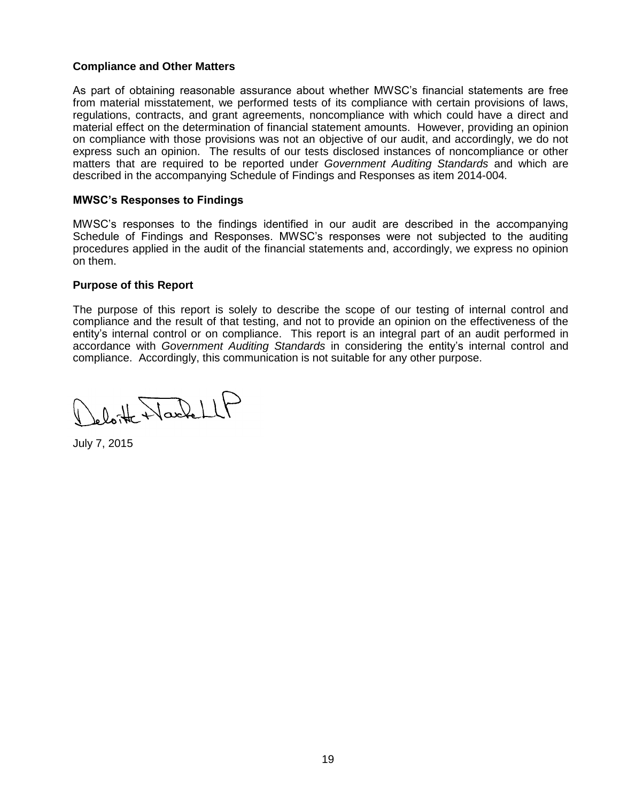## **Compliance and Other Matters**

As part of obtaining reasonable assurance about whether MWSC's financial statements are free from material misstatement, we performed tests of its compliance with certain provisions of laws, regulations, contracts, and grant agreements, noncompliance with which could have a direct and material effect on the determination of financial statement amounts. However, providing an opinion on compliance with those provisions was not an objective of our audit, and accordingly, we do not express such an opinion. The results of our tests disclosed instances of noncompliance or other matters that are required to be reported under *Government Auditing Standards* and which are described in the accompanying Schedule of Findings and Responses as item 2014-004*.*

## **MWSC's Responses to Findings**

MWSC's responses to the findings identified in our audit are described in the accompanying Schedule of Findings and Responses. MWSC's responses were not subjected to the auditing procedures applied in the audit of the financial statements and, accordingly, we express no opinion on them.

### **Purpose of this Report**

The purpose of this report is solely to describe the scope of our testing of internal control and compliance and the result of that testing, and not to provide an opinion on the effectiveness of the entity's internal control or on compliance. This report is an integral part of an audit performed in accordance with *Government Auditing Standards* in considering the entity's internal control and compliance. Accordingly, this communication is not suitable for any other purpose.

leloitte Wackell

July 7, 2015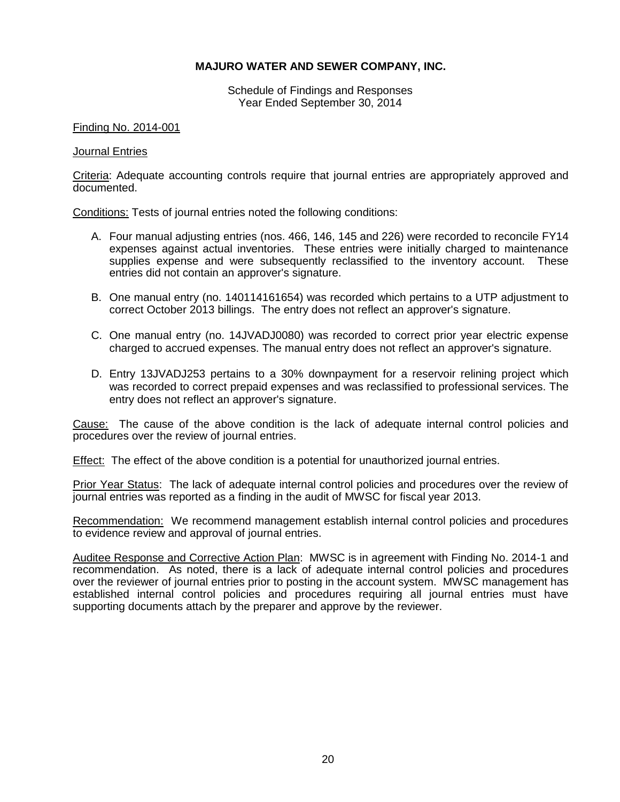Schedule of Findings and Responses Year Ended September 30, 2014

### Finding No. 2014-001

### Journal Entries

Criteria: Adequate accounting controls require that journal entries are appropriately approved and documented.

Conditions: Tests of journal entries noted the following conditions:

- A. Four manual adjusting entries (nos. 466, 146, 145 and 226) were recorded to reconcile FY14 expenses against actual inventories. These entries were initially charged to maintenance supplies expense and were subsequently reclassified to the inventory account. These entries did not contain an approver's signature.
- B. One manual entry (no. 140114161654) was recorded which pertains to a UTP adjustment to correct October 2013 billings. The entry does not reflect an approver's signature.
- C. One manual entry (no. 14JVADJ0080) was recorded to correct prior year electric expense charged to accrued expenses. The manual entry does not reflect an approver's signature.
- D. Entry 13JVADJ253 pertains to a 30% downpayment for a reservoir relining project which was recorded to correct prepaid expenses and was reclassified to professional services. The entry does not reflect an approver's signature.

Cause: The cause of the above condition is the lack of adequate internal control policies and procedures over the review of journal entries.

Effect: The effect of the above condition is a potential for unauthorized journal entries.

Prior Year Status: The lack of adequate internal control policies and procedures over the review of journal entries was reported as a finding in the audit of MWSC for fiscal year 2013.

Recommendation: We recommend management establish internal control policies and procedures to evidence review and approval of journal entries.

Auditee Response and Corrective Action Plan: MWSC is in agreement with Finding No. 2014-1 and recommendation. As noted, there is a lack of adequate internal control policies and procedures over the reviewer of journal entries prior to posting in the account system. MWSC management has established internal control policies and procedures requiring all journal entries must have supporting documents attach by the preparer and approve by the reviewer.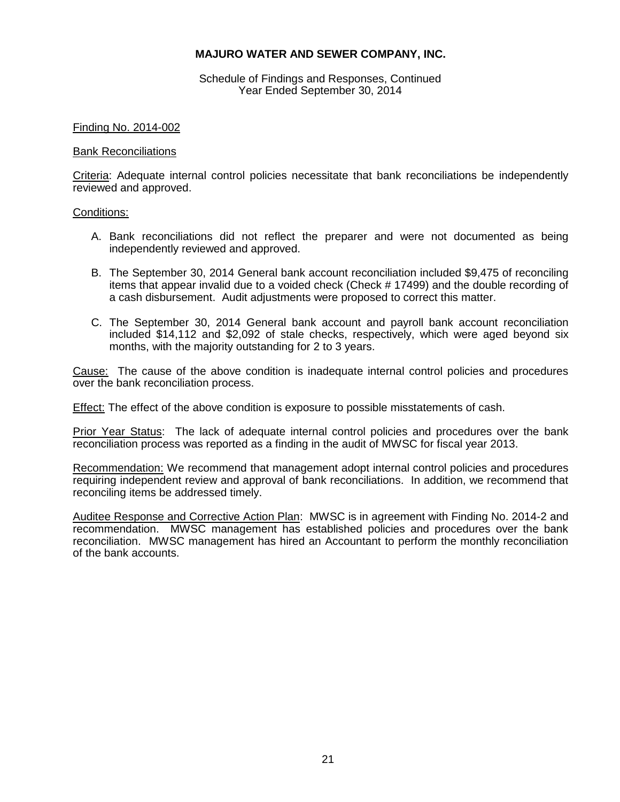Schedule of Findings and Responses, Continued Year Ended September 30, 2014

### Finding No. 2014-002

### Bank Reconciliations

Criteria: Adequate internal control policies necessitate that bank reconciliations be independently reviewed and approved.

### Conditions:

- A. Bank reconciliations did not reflect the preparer and were not documented as being independently reviewed and approved.
- B. The September 30, 2014 General bank account reconciliation included \$9,475 of reconciling items that appear invalid due to a voided check (Check # 17499) and the double recording of a cash disbursement. Audit adjustments were proposed to correct this matter.
- C. The September 30, 2014 General bank account and payroll bank account reconciliation included \$14,112 and \$2,092 of stale checks, respectively, which were aged beyond six months, with the majority outstanding for 2 to 3 years.

Cause: The cause of the above condition is inadequate internal control policies and procedures over the bank reconciliation process.

Effect: The effect of the above condition is exposure to possible misstatements of cash.

Prior Year Status: The lack of adequate internal control policies and procedures over the bank reconciliation process was reported as a finding in the audit of MWSC for fiscal year 2013.

Recommendation: We recommend that management adopt internal control policies and procedures requiring independent review and approval of bank reconciliations. In addition, we recommend that reconciling items be addressed timely.

Auditee Response and Corrective Action Plan: MWSC is in agreement with Finding No. 2014-2 and recommendation. MWSC management has established policies and procedures over the bank reconciliation. MWSC management has hired an Accountant to perform the monthly reconciliation of the bank accounts.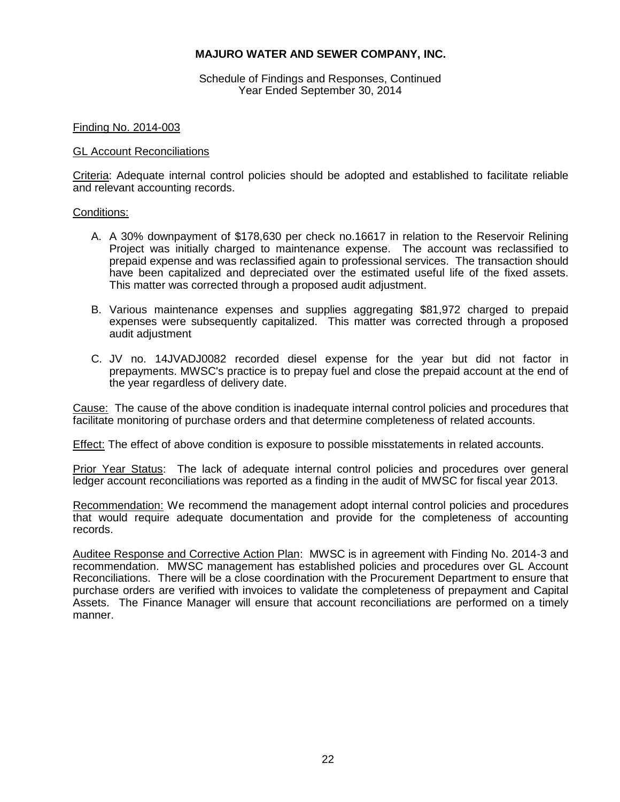Schedule of Findings and Responses, Continued Year Ended September 30, 2014

### Finding No. 2014-003

### GL Account Reconciliations

Criteria: Adequate internal control policies should be adopted and established to facilitate reliable and relevant accounting records.

### Conditions:

- A. A 30% downpayment of \$178,630 per check no.16617 in relation to the Reservoir Relining Project was initially charged to maintenance expense. The account was reclassified to prepaid expense and was reclassified again to professional services. The transaction should have been capitalized and depreciated over the estimated useful life of the fixed assets. This matter was corrected through a proposed audit adjustment.
- B. Various maintenance expenses and supplies aggregating \$81,972 charged to prepaid expenses were subsequently capitalized. This matter was corrected through a proposed audit adjustment
- C. JV no. 14JVADJ0082 recorded diesel expense for the year but did not factor in prepayments. MWSC's practice is to prepay fuel and close the prepaid account at the end of the year regardless of delivery date.

Cause: The cause of the above condition is inadequate internal control policies and procedures that facilitate monitoring of purchase orders and that determine completeness of related accounts.

Effect: The effect of above condition is exposure to possible misstatements in related accounts.

Prior Year Status: The lack of adequate internal control policies and procedures over general ledger account reconciliations was reported as a finding in the audit of MWSC for fiscal year 2013.

Recommendation: We recommend the management adopt internal control policies and procedures that would require adequate documentation and provide for the completeness of accounting records.

Auditee Response and Corrective Action Plan: MWSC is in agreement with Finding No. 2014-3 and recommendation. MWSC management has established policies and procedures over GL Account Reconciliations. There will be a close coordination with the Procurement Department to ensure that purchase orders are verified with invoices to validate the completeness of prepayment and Capital Assets. The Finance Manager will ensure that account reconciliations are performed on a timely manner.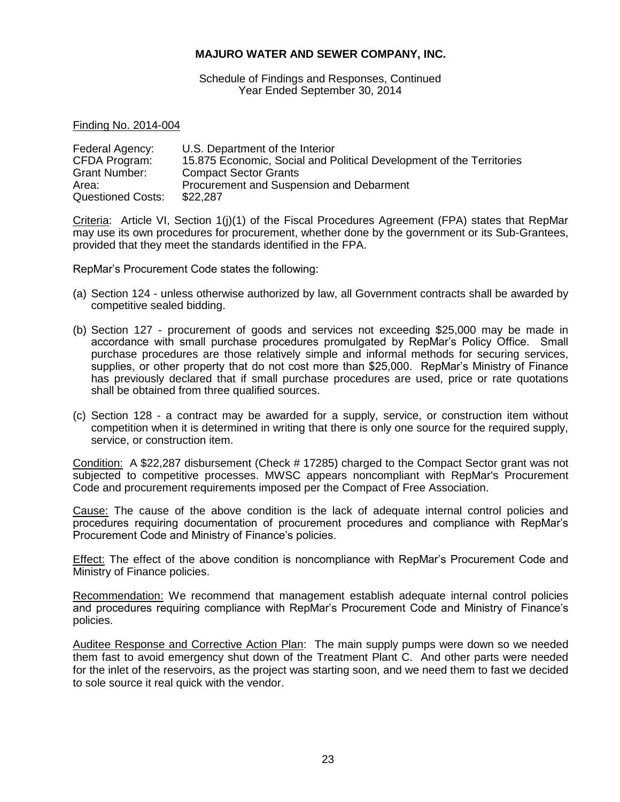Schedule of Findings and Responses, Continued Year Ended September 30, 2014

Finding No. 2014-004

| Federal Agency:          | U.S. Department of the Interior                                      |
|--------------------------|----------------------------------------------------------------------|
| CFDA Program:            | 15.875 Economic, Social and Political Development of the Territories |
| Grant Number:            | <b>Compact Sector Grants</b>                                         |
| Area:                    | Procurement and Suspension and Debarment                             |
| <b>Questioned Costs:</b> | \$22,287                                                             |

Criteria: Article VI, Section 1(j)(1) of the Fiscal Procedures Agreement (FPA) states that RepMar may use its own procedures for procurement, whether done by the government or its Sub-Grantees, provided that they meet the standards identified in the FPA.

RepMar's Procurement Code states the following:

- (a) Section 124 unless otherwise authorized by law, all Government contracts shall be awarded by competitive sealed bidding.
- (b) Section 127 procurement of goods and services not exceeding \$25,000 may be made in accordance with small purchase procedures promulgated by RepMar's Policy Office. Small purchase procedures are those relatively simple and informal methods for securing services, supplies, or other property that do not cost more than \$25,000. RepMar's Ministry of Finance has previously declared that if small purchase procedures are used, price or rate quotations shall be obtained from three qualified sources.
- (c) Section 128 a contract may be awarded for a supply, service, or construction item without competition when it is determined in writing that there is only one source for the required supply, service, or construction item.

Condition: A \$22,287 disbursement (Check # 17285) charged to the Compact Sector grant was not subjected to competitive processes. MWSC appears noncompliant with RepMar's Procurement Code and procurement requirements imposed per the Compact of Free Association.

Cause: The cause of the above condition is the lack of adequate internal control policies and procedures requiring documentation of procurement procedures and compliance with RepMar's Procurement Code and Ministry of Finance's policies.

Effect: The effect of the above condition is noncompliance with RepMar's Procurement Code and Ministry of Finance policies.

Recommendation: We recommend that management establish adequate internal control policies and procedures requiring compliance with RepMar's Procurement Code and Ministry of Finance's policies.

Auditee Response and Corrective Action Plan: The main supply pumps were down so we needed them fast to avoid emergency shut down of the Treatment Plant C. And other parts were needed for the inlet of the reservoirs, as the project was starting soon, and we need them to fast we decided to sole source it real quick with the vendor.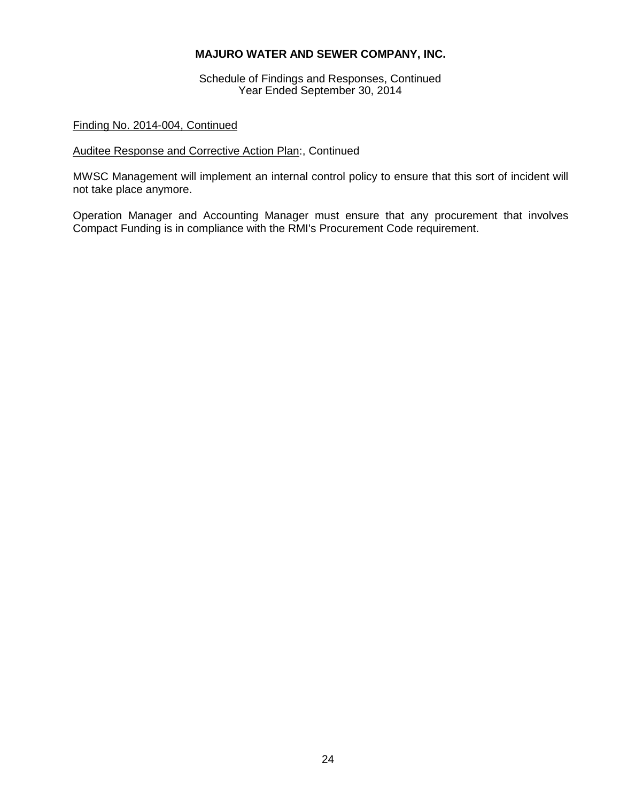Schedule of Findings and Responses, Continued Year Ended September 30, 2014

## Finding No. 2014-004, Continued

## Auditee Response and Corrective Action Plan:, Continued

MWSC Management will implement an internal control policy to ensure that this sort of incident will not take place anymore.

Operation Manager and Accounting Manager must ensure that any procurement that involves Compact Funding is in compliance with the RMI's Procurement Code requirement.